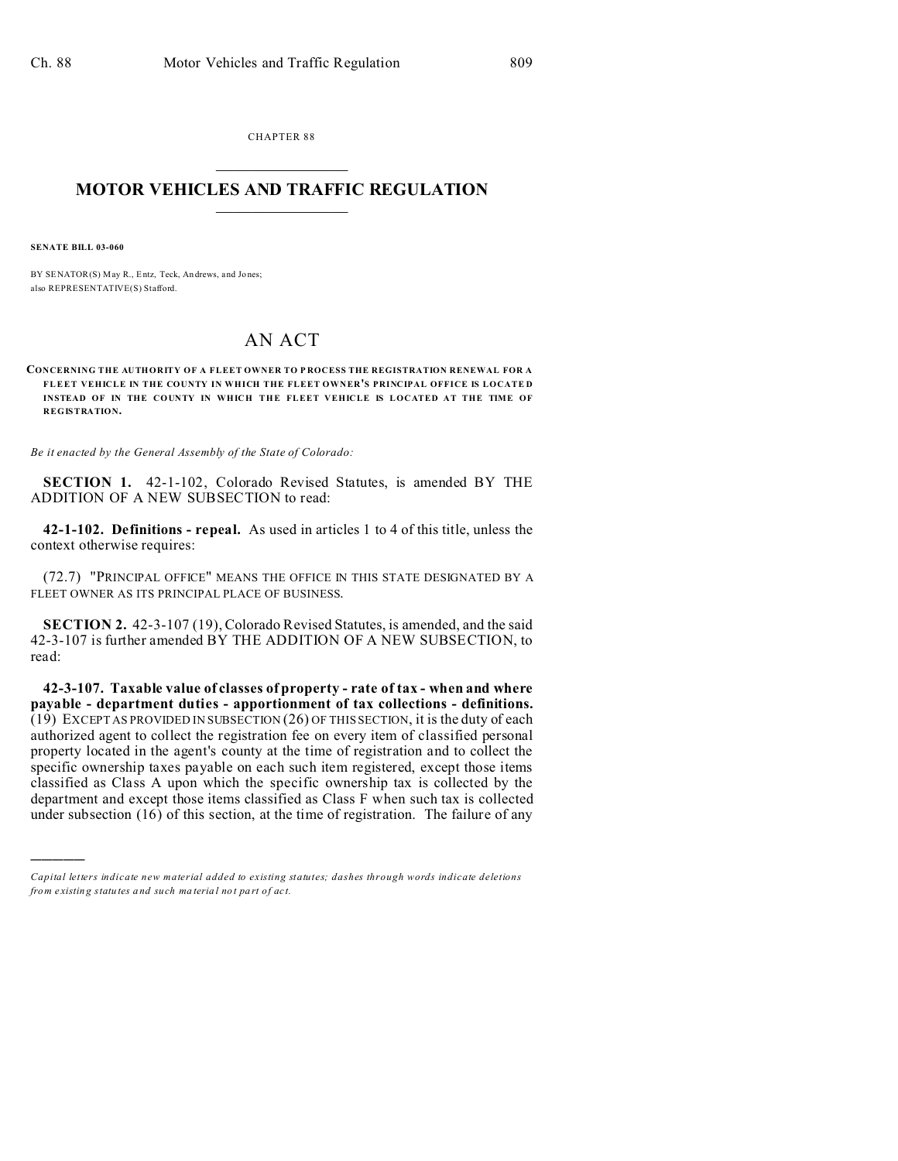CHAPTER 88  $\overline{\phantom{a}}$  , where  $\overline{\phantom{a}}$ 

## **MOTOR VEHICLES AND TRAFFIC REGULATION**  $\frac{1}{2}$  ,  $\frac{1}{2}$  ,  $\frac{1}{2}$  ,  $\frac{1}{2}$  ,  $\frac{1}{2}$  ,  $\frac{1}{2}$  ,  $\frac{1}{2}$

**SENATE BILL 03-060**

)))))

BY SENATOR(S) May R., Entz, Teck, Andrews, and Jones; also REPRESENTATIVE(S) Stafford.

## AN ACT

**CONCERNING THE AUTHORITY OF A FLEET OWNER TO P ROCESS THE REGISTRATION RENEWAL FOR A FLEET VEHICLE IN THE COUNTY IN WHICH THE FLEET OWNER'S PRINCIPAL OFFICE IS LOCATE D INSTEAD OF IN THE COUNTY IN WHICH THE FLEET VEHICLE IS LOCATED AT THE TIME OF REGISTRATION.**

*Be it enacted by the General Assembly of the State of Colorado:*

**SECTION 1.** 42-1-102, Colorado Revised Statutes, is amended BY THE ADDITION OF A NEW SUBSECTION to read:

**42-1-102. Definitions - repeal.** As used in articles 1 to 4 of this title, unless the context otherwise requires:

(72.7) "PRINCIPAL OFFICE" MEANS THE OFFICE IN THIS STATE DESIGNATED BY A FLEET OWNER AS ITS PRINCIPAL PLACE OF BUSINESS.

**SECTION 2.** 42-3-107 (19), Colorado Revised Statutes, is amended, and the said 42-3-107 is further amended BY THE ADDITION OF A NEW SUBSECTION, to read:

**42-3-107. Taxable value of classes of property - rate of tax - when and where payable - department duties - apportionment of tax collections - definitions.** (19) EXCEPT AS PROVIDED IN SUBSECTION (26) OF THIS SECTION, it is the duty of each authorized agent to collect the registration fee on every item of classified personal property located in the agent's county at the time of registration and to collect the specific ownership taxes payable on each such item registered, except those items classified as Class A upon which the specific ownership tax is collected by the department and except those items classified as Class F when such tax is collected under subsection  $(16)$  of this section, at the time of registration. The failure of any

*Capital letters indicate new material added to existing statutes; dashes through words indicate deletions from e xistin g statu tes a nd such ma teria l no t pa rt of ac t.*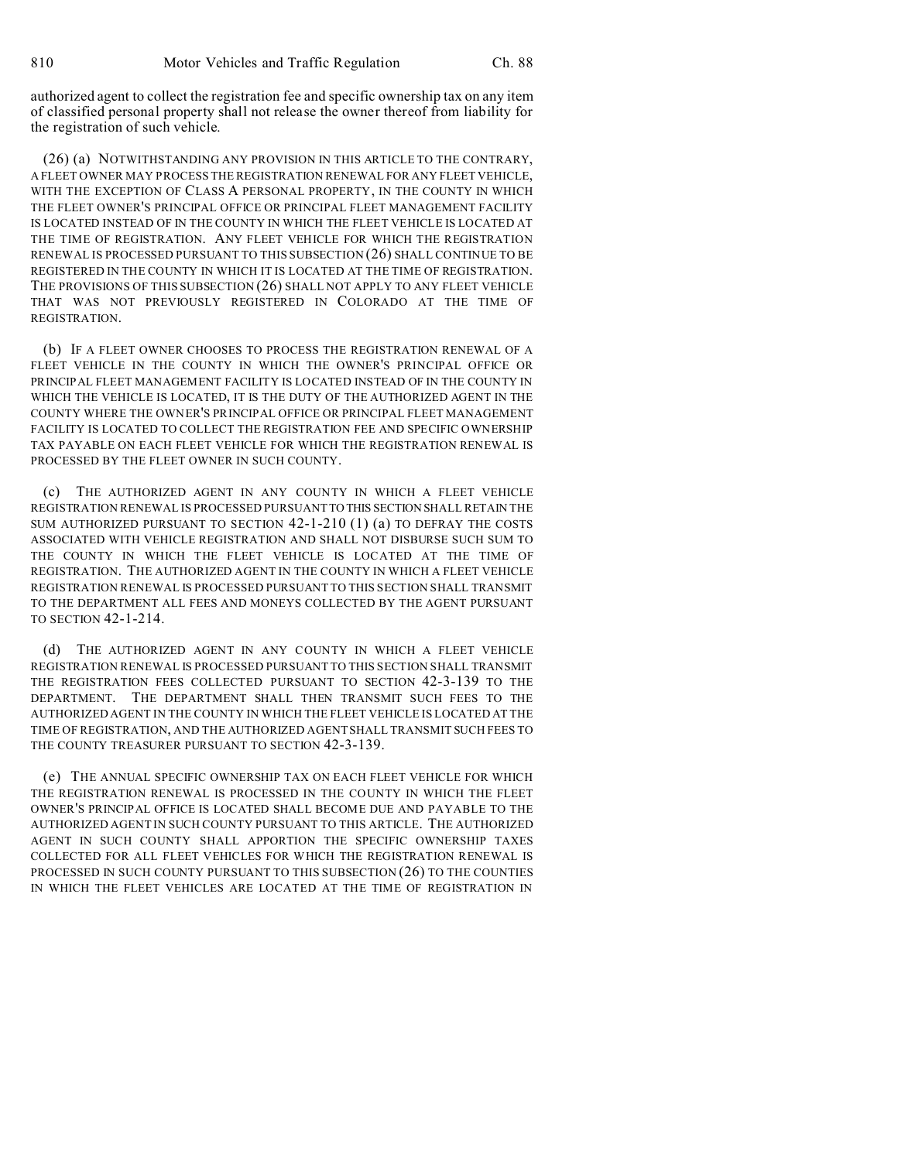authorized agent to collect the registration fee and specific ownership tax on any item of classified personal property shall not release the owner thereof from liability for the registration of such vehicle.

(26) (a) NOTWITHSTANDING ANY PROVISION IN THIS ARTICLE TO THE CONTRARY, A FLEET OWNER MAY PROCESS THE REGISTRATION RENEWAL FOR ANY FLEET VEHICLE, WITH THE EXCEPTION OF CLASS A PERSONAL PROPERTY, IN THE COUNTY IN WHICH THE FLEET OWNER'S PRINCIPAL OFFICE OR PRINCIPAL FLEET MANAGEMENT FACILITY IS LOCATED INSTEAD OF IN THE COUNTY IN WHICH THE FLEET VEHICLE IS LOCATED AT THE TIME OF REGISTRATION. ANY FLEET VEHICLE FOR WHICH THE REGISTRATION RENEWAL IS PROCESSED PURSUANT TO THIS SUBSECTION (26) SHALL CONTINUE TO BE REGISTERED IN THE COUNTY IN WHICH IT IS LOCATED AT THE TIME OF REGISTRATION. THE PROVISIONS OF THIS SUBSECTION (26) SHALL NOT APPLY TO ANY FLEET VEHICLE THAT WAS NOT PREVIOUSLY REGISTERED IN COLORADO AT THE TIME OF REGISTRATION.

(b) IF A FLEET OWNER CHOOSES TO PROCESS THE REGISTRATION RENEWAL OF A FLEET VEHICLE IN THE COUNTY IN WHICH THE OWNER'S PRINCIPAL OFFICE OR PRINCIPAL FLEET MANAGEMENT FACILITY IS LOCATED INSTEAD OF IN THE COUNTY IN WHICH THE VEHICLE IS LOCATED, IT IS THE DUTY OF THE AUTHORIZED AGENT IN THE COUNTY WHERE THE OWNER'S PRINCIPAL OFFICE OR PRINCIPAL FLEET MANAGEMENT FACILITY IS LOCATED TO COLLECT THE REGISTRATION FEE AND SPECIFIC OWNERSHIP TAX PAYABLE ON EACH FLEET VEHICLE FOR WHICH THE REGISTRATION RENEWAL IS PROCESSED BY THE FLEET OWNER IN SUCH COUNTY.

(c) THE AUTHORIZED AGENT IN ANY COUNTY IN WHICH A FLEET VEHICLE REGISTRATION RENEWAL IS PROCESSED PURSUANT TO THIS SECTION SHALL RETAIN THE SUM AUTHORIZED PURSUANT TO SECTION 42-1-210 (1) (a) TO DEFRAY THE COSTS ASSOCIATED WITH VEHICLE REGISTRATION AND SHALL NOT DISBURSE SUCH SUM TO THE COUNTY IN WHICH THE FLEET VEHICLE IS LOCATED AT THE TIME OF REGISTRATION. THE AUTHORIZED AGENT IN THE COUNTY IN WHICH A FLEET VEHICLE REGISTRATION RENEWAL IS PROCESSED PURSUANT TO THIS SECTION SHALL TRANSMIT TO THE DEPARTMENT ALL FEES AND MONEYS COLLECTED BY THE AGENT PURSUANT TO SECTION 42-1-214.

(d) THE AUTHORIZED AGENT IN ANY COUNTY IN WHICH A FLEET VEHICLE REGISTRATION RENEWAL IS PROCESSED PURSUANT TO THIS SECTION SHALL TRANSMIT THE REGISTRATION FEES COLLECTED PURSUANT TO SECTION 42-3-139 TO THE DEPARTMENT. THE DEPARTMENT SHALL THEN TRANSMIT SUCH FEES TO THE AUTHORIZED AGENT IN THE COUNTY IN WHICH THE FLEET VEHICLE IS LOCATED AT THE TIME OF REGISTRATION, AND THE AUTHORIZED AGENT SHALL TRANSMIT SUCH FEES TO THE COUNTY TREASURER PURSUANT TO SECTION 42-3-139.

(e) THE ANNUAL SPECIFIC OWNERSHIP TAX ON EACH FLEET VEHICLE FOR WHICH THE REGISTRATION RENEWAL IS PROCESSED IN THE COUNTY IN WHICH THE FLEET OWNER'S PRINCIPAL OFFICE IS LOCATED SHALL BECOME DUE AND PAYABLE TO THE AUTHORIZED AGENT IN SUCH COUNTY PURSUANT TO THIS ARTICLE. THE AUTHORIZED AGENT IN SUCH COUNTY SHALL APPORTION THE SPECIFIC OWNERSHIP TAXES COLLECTED FOR ALL FLEET VEHICLES FOR WHICH THE REGISTRATION RENEWAL IS PROCESSED IN SUCH COUNTY PURSUANT TO THIS SUBSECTION (26) TO THE COUNTIES IN WHICH THE FLEET VEHICLES ARE LOCATED AT THE TIME OF REGISTRATION IN